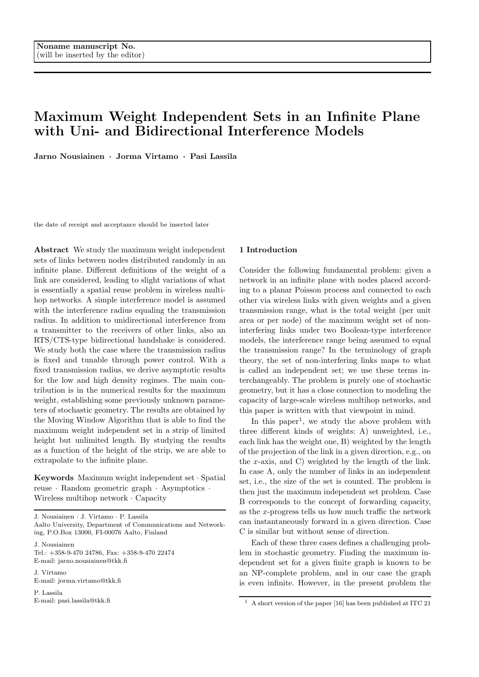# Maximum Weight Independent Sets in an Infinite Plane with Uni- and Bidirectional Interference Models

Jarno Nousiainen · Jorma Virtamo · Pasi Lassila

the date of receipt and acceptance should be inserted later

Abstract We study the maximum weight independent sets of links between nodes distributed randomly in an infinite plane. Different definitions of the weight of a link are considered, leading to slight variations of what is essentially a spatial reuse problem in wireless multihop networks. A simple interference model is assumed with the interference radius equaling the transmission radius. In addition to unidirectional interference from a transmitter to the receivers of other links, also an RTS/CTS-type bidirectional handshake is considered. We study both the case where the transmission radius is fixed and tunable through power control. With a fixed transmission radius, we derive asymptotic results for the low and high density regimes. The main contribution is in the numerical results for the maximum weight, establishing some previously unknown parameters of stochastic geometry. The results are obtained by the Moving Window Algorithm that is able to find the maximum weight independent set in a strip of limited height but unlimited length. By studying the results as a function of the height of the strip, we are able to extrapolate to the infinite plane.

Keywords Maximum weight independent set · Spatial reuse · Random geometric graph · Asymptotics · Wireless multihop network · Capacity

J. Nousiainen · J. Virtamo · P. Lassila Aalto University, Department of Communications and Networking, P.O.Box 13000, FI-00076 Aalto, Finland

J. Nousiainen Tel.: +358-9-470 24786, Fax: +358-9-470 22474

E-mail: jarno.nousiainen@tkk.fi J. Virtamo

E-mail: jorma.virtamo@tkk.fi P. Lassila

E-mail: pasi.lassila@tkk.fi

# 1 Introduction

Consider the following fundamental problem: given a network in an infinite plane with nodes placed according to a planar Poisson process and connected to each other via wireless links with given weights and a given transmission range, what is the total weight (per unit area or per node) of the maximum weight set of noninterfering links under two Boolean-type interference models, the interference range being assumed to equal the transmission range? In the terminology of graph theory, the set of non-interfering links maps to what is called an independent set; we use these terms interchangeably. The problem is purely one of stochastic geometry, but it has a close connection to modeling the capacity of large-scale wireless multihop networks, and this paper is written with that viewpoint in mind.

In this paper<sup>1</sup>, we study the above problem with three different kinds of weights: A) unweighted, i.e., each link has the weight one, B) weighted by the length of the projection of the link in a given direction, e.g., on the  $x$ -axis, and C) weighted by the length of the link. In case A, only the number of links in an independent set, i.e., the size of the set is counted. The problem is then just the maximum independent set problem. Case B corresponds to the concept of forwarding capacity, as the x-progress tells us how much traffic the network can instantaneously forward in a given direction. Case C is similar but without sense of direction.

Each of these three cases defines a challenging problem in stochastic geometry. Finding the maximum independent set for a given finite graph is known to be an NP-complete problem, and in our case the graph is even infinite. However, in the present problem the

<sup>1</sup> A short version of the paper [16] has been published at ITC 21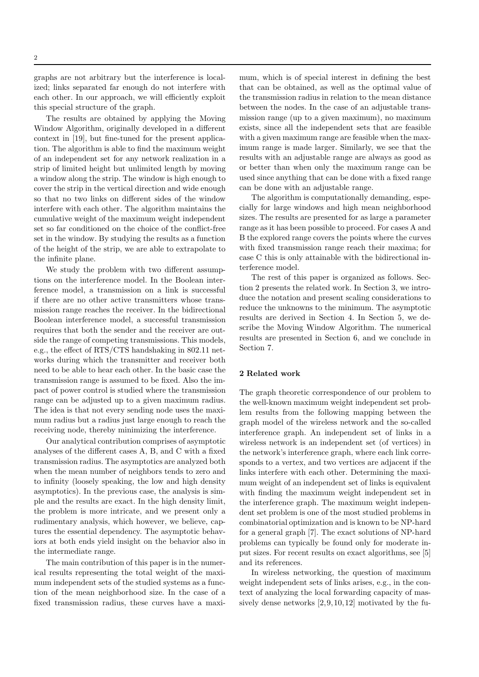graphs are not arbitrary but the interference is localized; links separated far enough do not interfere with each other. In our approach, we will efficiently exploit this special structure of the graph.

The results are obtained by applying the Moving Window Algorithm, originally developed in a different context in [19], but fine-tuned for the present application. The algorithm is able to find the maximum weight of an independent set for any network realization in a strip of limited height but unlimited length by moving a window along the strip. The window is high enough to cover the strip in the vertical direction and wide enough so that no two links on different sides of the window interfere with each other. The algorithm maintains the cumulative weight of the maximum weight independent set so far conditioned on the choice of the conflict-free set in the window. By studying the results as a function of the height of the strip, we are able to extrapolate to the infinite plane.

We study the problem with two different assumptions on the interference model. In the Boolean interference model, a transmission on a link is successful if there are no other active transmitters whose transmission range reaches the receiver. In the bidirectional Boolean interference model, a successful transmission requires that both the sender and the receiver are outside the range of competing transmissions. This models, e.g., the effect of RTS/CTS handshaking in 802.11 networks during which the transmitter and receiver both need to be able to hear each other. In the basic case the transmission range is assumed to be fixed. Also the impact of power control is studied where the transmission range can be adjusted up to a given maximum radius. The idea is that not every sending node uses the maximum radius but a radius just large enough to reach the receiving node, thereby minimizing the interference.

Our analytical contribution comprises of asymptotic analyses of the different cases A, B, and C with a fixed transmission radius. The asymptotics are analyzed both when the mean number of neighbors tends to zero and to infinity (loosely speaking, the low and high density asymptotics). In the previous case, the analysis is simple and the results are exact. In the high density limit, the problem is more intricate, and we present only a rudimentary analysis, which however, we believe, captures the essential dependency. The asymptotic behaviors at both ends yield insight on the behavior also in the intermediate range.

The main contribution of this paper is in the numerical results representing the total weight of the maximum independent sets of the studied systems as a function of the mean neighborhood size. In the case of a fixed transmission radius, these curves have a maximum, which is of special interest in defining the best that can be obtained, as well as the optimal value of the transmission radius in relation to the mean distance between the nodes. In the case of an adjustable transmission range (up to a given maximum), no maximum exists, since all the independent sets that are feasible with a given maximum range are feasible when the maximum range is made larger. Similarly, we see that the results with an adjustable range are always as good as or better than when only the maximum range can be used since anything that can be done with a fixed range can be done with an adjustable range.

The algorithm is computationally demanding, especially for large windows and high mean neighborhood sizes. The results are presented for as large a parameter range as it has been possible to proceed. For cases A and B the explored range covers the points where the curves with fixed transmission range reach their maxima; for case C this is only attainable with the bidirectional interference model.

The rest of this paper is organized as follows. Section 2 presents the related work. In Section 3, we introduce the notation and present scaling considerations to reduce the unknowns to the minimum. The asymptotic results are derived in Section 4. In Section 5, we describe the Moving Window Algorithm. The numerical results are presented in Section 6, and we conclude in Section 7.

## 2 Related work

The graph theoretic correspondence of our problem to the well-known maximum weight independent set problem results from the following mapping between the graph model of the wireless network and the so-called interference graph. An independent set of links in a wireless network is an independent set (of vertices) in the network's interference graph, where each link corresponds to a vertex, and two vertices are adjacent if the links interfere with each other. Determining the maximum weight of an independent set of links is equivalent with finding the maximum weight independent set in the interference graph. The maximum weight independent set problem is one of the most studied problems in combinatorial optimization and is known to be NP-hard for a general graph [7]. The exact solutions of NP-hard problems can typically be found only for moderate input sizes. For recent results on exact algorithms, see [5] and its references.

In wireless networking, the question of maximum weight independent sets of links arises, e.g., in the context of analyzing the local forwarding capacity of massively dense networks [2,9,10,12] motivated by the fu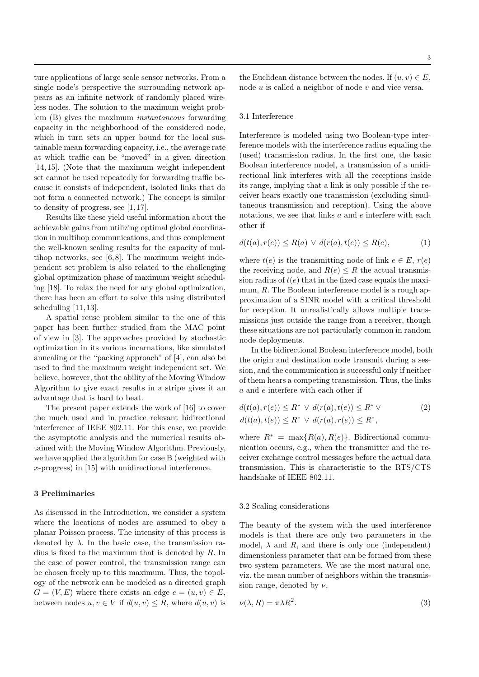ture applications of large scale sensor networks. From a single node's perspective the surrounding network appears as an infinite network of randomly placed wireless nodes. The solution to the maximum weight problem (B) gives the maximum instantaneous forwarding capacity in the neighborhood of the considered node, which in turn sets an upper bound for the local sustainable mean forwarding capacity, i.e., the average rate at which traffic can be "moved" in a given direction [14,15]. (Note that the maximum weight independent set cannot be used repeatedly for forwarding traffic because it consists of independent, isolated links that do not form a connected network.) The concept is similar to density of progress, see [1,17].

Results like these yield useful information about the achievable gains from utilizing optimal global coordination in multihop communications, and thus complement the well-known scaling results for the capacity of multihop networks, see [6,8]. The maximum weight independent set problem is also related to the challenging global optimization phase of maximum weight scheduling [18]. To relax the need for any global optimization, there has been an effort to solve this using distributed scheduling [11,13].

A spatial reuse problem similar to the one of this paper has been further studied from the MAC point of view in [3]. The approaches provided by stochastic optimization in its various incarnations, like simulated annealing or the "packing approach" of [4], can also be used to find the maximum weight independent set. We believe, however, that the ability of the Moving Window Algorithm to give exact results in a stripe gives it an advantage that is hard to beat.

The present paper extends the work of [16] to cover the much used and in practice relevant bidirectional interference of IEEE 802.11. For this case, we provide the asymptotic analysis and the numerical results obtained with the Moving Window Algorithm. Previously, we have applied the algorithm for case B (weighted with x-progress) in [15] with unidirectional interference.

## 3 Preliminaries

As discussed in the Introduction, we consider a system where the locations of nodes are assumed to obey a planar Poisson process. The intensity of this process is denoted by  $\lambda$ . In the basic case, the transmission radius is fixed to the maximum that is denoted by R. In the case of power control, the transmission range can be chosen freely up to this maximum. Thus, the topology of the network can be modeled as a directed graph  $G = (V, E)$  where there exists an edge  $e = (u, v) \in E$ , between nodes  $u, v \in V$  if  $d(u, v) \leq R$ , where  $d(u, v)$  is the Euclidean distance between the nodes. If  $(u, v) \in E$ , node  $u$  is called a neighbor of node  $v$  and vice versa.

## 3.1 Interference

Interference is modeled using two Boolean-type interference models with the interference radius equaling the (used) transmission radius. In the first one, the basic Boolean interference model, a transmission of a unidirectional link interferes with all the receptions inside its range, implying that a link is only possible if the receiver hears exactly one transmission (excluding simultaneous transmission and reception). Using the above notations, we see that links a and e interfere with each other if

$$
d(t(a),r(e)) \leq R(a) \lor d(r(a),t(e)) \leq R(e), \tag{1}
$$

where  $t(e)$  is the transmitting node of link  $e \in E$ ,  $r(e)$ the receiving node, and  $R(e) \leq R$  the actual transmission radius of  $t(e)$  that in the fixed case equals the maximum, R. The Boolean interference model is a rough approximation of a SINR model with a critical threshold for reception. It unrealistically allows multiple transmissions just outside the range from a receiver, though these situations are not particularly common in random node deployments.

In the bidirectional Boolean interference model, both the origin and destination node transmit during a session, and the communication is successful only if neither of them hears a competing transmission. Thus, the links a and e interfere with each other if

$$
d(t(a), r(e)) \le R^* \vee d(r(a), t(e)) \le R^* \vee
$$
  
\n
$$
d(t(a), t(e)) \le R^* \vee d(r(a), r(e)) \le R^*,
$$
\n(2)

where  $R^* = \max\{R(a), R(e)\}\$ . Bidirectional communication occurs, e.g., when the transmitter and the receiver exchange control messages before the actual data transmission. This is characteristic to the RTS/CTS handshake of IEEE 802.11.

#### 3.2 Scaling considerations

The beauty of the system with the used interference models is that there are only two parameters in the model,  $\lambda$  and R, and there is only one (independent) dimensionless parameter that can be formed from these two system parameters. We use the most natural one, viz. the mean number of neighbors within the transmission range, denoted by  $\nu$ ,

$$
\nu(\lambda, R) = \pi \lambda R^2. \tag{3}
$$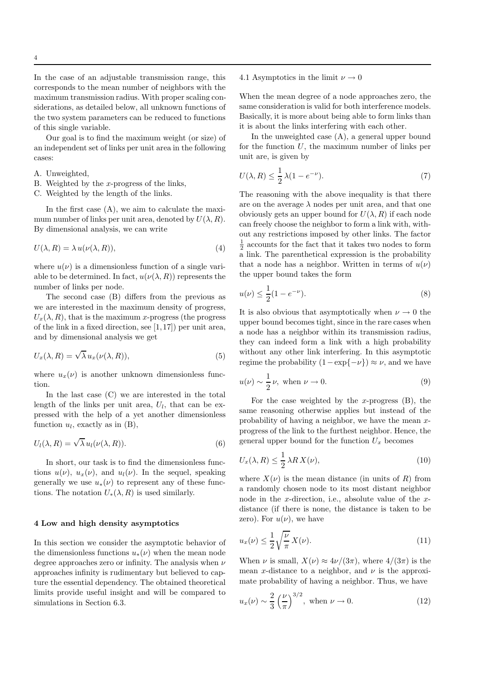In the case of an adjustable transmission range, this corresponds to the mean number of neighbors with the maximum transmission radius. With proper scaling considerations, as detailed below, all unknown functions of the two system parameters can be reduced to functions of this single variable.

Our goal is to find the maximum weight (or size) of an independent set of links per unit area in the following cases:

A. Unweighted,

- B. Weighted by the x-progress of the links,
- C. Weighted by the length of the links.

In the first case (A), we aim to calculate the maximum number of links per unit area, denoted by  $U(\lambda, R)$ . By dimensional analysis, we can write

$$
U(\lambda, R) = \lambda u(\nu(\lambda, R)),\tag{4}
$$

where  $u(\nu)$  is a dimensionless function of a single variable to be determined. In fact,  $u(\nu(\lambda, R))$  represents the number of links per node.

The second case (B) differs from the previous as we are interested in the maximum density of progress,  $U_x(\lambda, R)$ , that is the maximum x-progress (the progress of the link in a fixed direction, see [1,17]) per unit area, and by dimensional analysis we get

$$
U_x(\lambda, R) = \sqrt{\lambda} u_x(\nu(\lambda, R)), \qquad (5)
$$

where  $u_x(\nu)$  is another unknown dimensionless function.

In the last case (C) we are interested in the total length of the links per unit area,  $U_l$ , that can be expressed with the help of a yet another dimensionless function  $u_l$ , exactly as in  $(B)$ ,

$$
U_l(\lambda, R) = \sqrt{\lambda} u_l(\nu(\lambda, R)).
$$
\n(6)

In short, our task is to find the dimensionless functions  $u(\nu)$ ,  $u_x(\nu)$ , and  $u_l(\nu)$ . In the sequel, speaking generally we use  $u_*(\nu)$  to represent any of these functions. The notation  $U_*(\lambda, R)$  is used similarly.

# 4 Low and high density asymptotics

In this section we consider the asymptotic behavior of the dimensionless functions  $u_*(\nu)$  when the mean node degree approaches zero or infinity. The analysis when  $\nu$ approaches infinity is rudimentary but believed to capture the essential dependency. The obtained theoretical limits provide useful insight and will be compared to simulations in Section 6.3.

# 4.1 Asymptotics in the limit  $\nu \rightarrow 0$

When the mean degree of a node approaches zero, the same consideration is valid for both interference models. Basically, it is more about being able to form links than it is about the links interfering with each other.

In the unweighted case (A), a general upper bound for the function  $U$ , the maximum number of links per unit are, is given by

$$
U(\lambda, R) \le \frac{1}{2}\lambda (1 - e^{-\nu}).
$$
\n(7)

The reasoning with the above inequality is that there are on the average  $\lambda$  nodes per unit area, and that one obviously gets an upper bound for  $U(\lambda, R)$  if each node can freely choose the neighbor to form a link with, without any restrictions imposed by other links. The factor  $\frac{1}{2}$  accounts for the fact that it takes two nodes to form a link. The parenthetical expression is the probability that a node has a neighbor. Written in terms of  $u(\nu)$ the upper bound takes the form

$$
u(\nu) \le \frac{1}{2}(1 - e^{-\nu}).
$$
\n(8)

It is also obvious that asymptotically when  $\nu \rightarrow 0$  the upper bound becomes tight, since in the rare cases when a node has a neighbor within its transmission radius, they can indeed form a link with a high probability without any other link interfering. In this asymptotic regime the probability  $(1 - \exp{-\nu}) \approx \nu$ , and we have

$$
u(\nu) \sim \frac{1}{2}\,\nu, \text{ when } \nu \to 0. \tag{9}
$$

For the case weighted by the x-progress  $(B)$ , the same reasoning otherwise applies but instead of the probability of having a neighbor, we have the mean  $x$ progress of the link to the furthest neighbor. Hence, the general upper bound for the function  $U_x$  becomes

$$
U_x(\lambda, R) \le \frac{1}{2} \lambda R X(\nu),\tag{10}
$$

where  $X(\nu)$  is the mean distance (in units of R) from a randomly chosen node to its most distant neighbor node in the x-direction, i.e., absolute value of the  $x$ distance (if there is none, the distance is taken to be zero). For  $u(\nu)$ , we have

$$
u_x(\nu) \le \frac{1}{2} \sqrt{\frac{\nu}{\pi}} X(\nu). \tag{11}
$$

When  $\nu$  is small,  $X(\nu) \approx 4\nu/(3\pi)$ , where  $4/(3\pi)$  is the mean x-distance to a neighbor, and  $\nu$  is the approximate probability of having a neighbor. Thus, we have

$$
u_x(\nu) \sim \frac{2}{3} \left(\frac{\nu}{\pi}\right)^{3/2}, \text{ when } \nu \to 0. \tag{12}
$$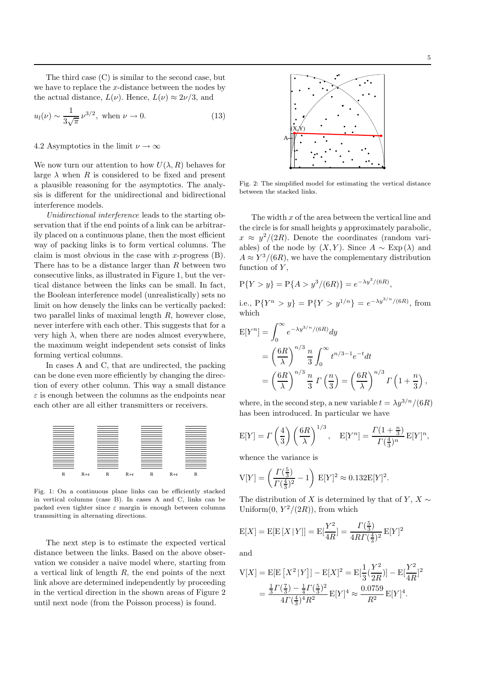The third case (C) is similar to the second case, but we have to replace the x-distance between the nodes by the actual distance,  $L(\nu)$ . Hence,  $L(\nu) \approx 2\nu/3$ , and

$$
u_l(\nu) \sim \frac{1}{3\sqrt{\pi}} \nu^{3/2}, \text{ when } \nu \to 0.
$$
 (13)

4.2 Asymptotics in the limit  $\nu \to \infty$ 

We now turn our attention to how  $U(\lambda, R)$  behaves for large  $\lambda$  when R is considered to be fixed and present a plausible reasoning for the asymptotics. The analysis is different for the unidirectional and bidirectional interference models.

Unidirectional interference leads to the starting observation that if the end points of a link can be arbitrarily placed on a continuous plane, then the most efficient way of packing links is to form vertical columns. The claim is most obvious in the case with x-progress  $(B)$ . There has to be a distance larger than R between two consecutive links, as illustrated in Figure 1, but the vertical distance between the links can be small. In fact, the Boolean interference model (unrealistically) sets no limit on how densely the links can be vertically packed: two parallel links of maximal length R, however close, never interfere with each other. This suggests that for a very high  $\lambda$ , when there are nodes almost everywhere, the maximum weight independent sets consist of links forming vertical columns.

In cases A and C, that are undirected, the packing can be done even more efficiently by changing the direction of every other column. This way a small distance  $\varepsilon$  is enough between the columns as the endpoints near each other are all either transmitters or receivers.



Fig. 1: On a continuous plane links can be efficiently stacked in vertical columns (case B). In cases A and C, links can be packed even tighter since  $\varepsilon$  margin is enough between columns transmitting in alternating directions.

The next step is to estimate the expected vertical distance between the links. Based on the above observation we consider a naive model where, starting from a vertical link of length  $R$ , the end points of the next link above are determined independently by proceeding in the vertical direction in the shown areas of Figure 2 until next node (from the Poisson process) is found.



Fig. 2: The simplified model for estimating the vertical distance between the stacked links.

The width x of the area between the vertical line and the circle is for small heights  $y$  approximately parabolic,  $x \approx y^2/(2R)$ . Denote the coordinates (random variables) of the node by  $(X, Y)$ . Since  $A \sim \text{Exp}(\lambda)$  and  $A \approx Y^3/(6R)$ , we have the complementary distribution function of  $Y$ ,

$$
P\{Y > y\} = P\{A > y^3/(6R)\} = e^{-\lambda y^3/(6R)}
$$

i.e.,  $P\{Y^n > y\} = P\{Y > y^{1/n}\} = e^{-\lambda y^{3/n}/(6R)}$ , from which

,

$$
E[Y^{n}] = \int_{0}^{\infty} e^{-\lambda y^{3/n}/(6R)} dy
$$
  
=  $\left(\frac{6R}{\lambda}\right)^{n/3} \frac{n}{3} \int_{0}^{\infty} t^{n/3-1} e^{-t} dt$   
=  $\left(\frac{6R}{\lambda}\right)^{n/3} \frac{n}{3} \Gamma\left(\frac{n}{3}\right) = \left(\frac{6R}{\lambda}\right)^{n/3} \Gamma\left(1 + \frac{n}{3}\right),$ 

where, in the second step, a new variable  $t = \lambda y^{3/n} / (6R)$ has been introduced. In particular we have

$$
E[Y] = \Gamma\left(\frac{4}{3}\right) \left(\frac{6R}{\lambda}\right)^{1/3}, \quad E[Y^n] = \frac{\Gamma(1+\frac{n}{3})}{\Gamma(\frac{4}{3})^n} E[Y]^n,
$$

whence the variance is

$$
V[Y] = \left(\frac{\Gamma(\frac{5}{3})}{\Gamma(\frac{4}{3})^2} - 1\right) E[Y]^2 \approx 0.132 E[Y]^2.
$$

The distribution of X is determined by that of Y,  $X \sim$ Uniform $(0, Y^2/(2R))$ , from which

$$
\mathrm{E}[X]=\mathrm{E}[\mathrm{E}\,[X\,|\,Y]] = \mathrm{E}[\frac{Y^2}{4R}]=\frac{\varGamma(\frac{5}{3})}{4 R \varGamma(\frac{4}{3})^2}\,\mathrm{E}[Y]^2
$$

and

$$
V[X] = E[E[X^2|Y]] - E[X]^2 = E[\frac{1}{3}(\frac{Y^2}{2R})] - E[\frac{Y^2}{4R}]^2
$$
  
= 
$$
\frac{\frac{1}{3}\Gamma(\frac{7}{3}) - \frac{1}{4}\Gamma(\frac{5}{3})^2}{4\Gamma(\frac{4}{3})^4 R^2} E[Y]^4 \approx \frac{0.0759}{R^2} E[Y]^4.
$$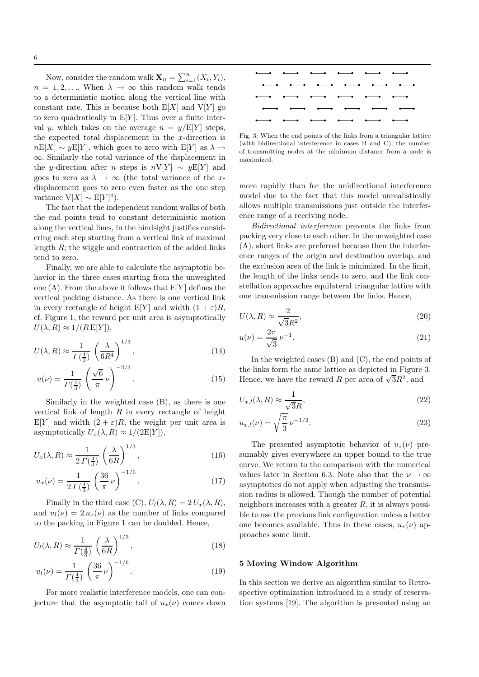Now, consider the random walk  $\mathbf{X}_n = \sum_{i=1}^n (X_i, Y_i)$ ,  $n = 1, 2, \dots$  When  $\lambda \to \infty$  this random walk tends to a deterministic motion along the vertical line with constant rate. This is because both  $E[X]$  and  $V[Y]$  go to zero quadratically in  $E[Y]$ . Thus over a finite interval y, which takes on the average  $n = y/E[Y]$  steps, the expected total displacement in the x-direction is  $nE[X] \sim yE[Y]$ , which goes to zero with  $E[Y]$  as  $\lambda \to$ ∞. Similarly the total variance of the displacement in the y-direction after n steps is  $nV[Y] \sim yE[Y]$  and goes to zero as  $\lambda \to \infty$  (the total variance of the xdisplacement goes to zero even faster as the one step variance  $V[X] \sim E[Y]^4$ .

The fact that the independent random walks of both the end points tend to constant deterministic motion along the vertical lines, in the hindsight justifies considering each step starting from a vertical link of maximal length R; the wiggle and contraction of the added links tend to zero.

Finally, we are able to calculate the asymptotic behavior in the three cases starting from the unweighted one  $(A)$ . From the above it follows that  $E[Y]$  defines the vertical packing distance. As there is one vertical link in every rectangle of height  $E[Y]$  and width  $(1 + \varepsilon)R$ , cf. Figure 1, the reward per unit area is asymptotically  $U(\lambda, R) \approx 1/(R E[Y]),$ 

$$
U(\lambda, R) \approx \frac{1}{\Gamma(\frac{4}{3})} \left(\frac{\lambda}{6R^4}\right)^{1/3},\tag{14}
$$

$$
u(\nu) = \frac{1}{\Gamma(\frac{4}{3})} \left( \frac{\sqrt{6}}{\pi} \nu \right)^{-2/3}.
$$
 (15)

Similarly in the weighted case (B), as there is one vertical link of length  $R$  in every rectangle of height E[Y] and width  $(2 + \varepsilon)R$ , the weight per unit area is asymptotically  $U_x(\lambda, R) \approx 1/(2E[Y]),$ 

$$
U_x(\lambda, R) \approx \frac{1}{2\,\Gamma(\frac{4}{3})} \left(\frac{\lambda}{6R}\right)^{1/3},\tag{16}
$$

$$
u_x(\nu) = \frac{1}{2\,\Gamma(\frac{4}{3})} \left(\frac{36}{\pi} \nu\right)^{-1/6}.\tag{17}
$$

Finally in the third case  $(C)$ ,  $U_l(\lambda, R) = 2 U_x(\lambda, R)$ , and  $u_l(\nu) = 2 u_x(\nu)$  as the number of links compared to the packing in Figure 1 can be doubled. Hence,

$$
U_l(\lambda, R) \approx \frac{1}{\Gamma(\frac{4}{3})} \left(\frac{\lambda}{6R}\right)^{1/3},\tag{18}
$$

$$
u_l(\nu) = \frac{1}{\Gamma(\frac{4}{3})} \left(\frac{36}{\pi} \nu\right)^{-1/6}.
$$
 (19)

For more realistic interference models, one can conjecture that the asymptotic tail of  $u_*(\nu)$  comes down



Fig. 3: When the end points of the links from a triangular lattice (with bidirectional interference in cases B and C), the number of transmitting nodes at the minimum distance from a node is maximized.

more rapidly than for the unidirectional interference model due to the fact that this model unrealistically allows multiple transmissions just outside the interference range of a receiving node.

Bidirectional interference prevents the links from packing very close to each other. In the unweighted case (A), short links are preferred because then the interference ranges of the origin and destination overlap, and the exclusion area of the link is minimized. In the limit, the length of the links tends to zero, and the link constellation approaches equilateral triangular lattice with one transmission range between the links. Hence,

$$
U(\lambda, R) \approx \frac{2}{\sqrt{3}R^2},\tag{20}
$$

$$
u(\nu) = \frac{2\pi}{\sqrt{3}} \nu^{-1}.
$$
 (21)

In the weighted cases (B) and (C), the end points of the links form the same lattice as depicted in Figure 3. Hence, we have the reward R per area of  $\sqrt{3}R^2$ , and

$$
U_{x,l}(\lambda, R) \approx \frac{1}{\sqrt{3}R},\tag{22}
$$

$$
u_{x,l}(\nu) = \sqrt{\frac{\pi}{3}} \,\nu^{-1/2}.\tag{23}
$$

The presented asymptotic behavior of  $u_*(\nu)$  presumably gives everywhere an upper bound to the true curve. We return to the comparison with the numerical values later in Section 6.3. Note also that the  $\nu \to \infty$ asymptotics do not apply when adjusting the transmission radius is allowed. Though the number of potential neighbors increases with a greater  $R$ , it is always possible to use the previous link configuration unless a better one becomes available. Thus in these cases,  $u_*(\nu)$  approaches some limit.

#### 5 Moving Window Algorithm

In this section we derive an algorithm similar to Retrospective optimization introduced in a study of reservation systems [19]. The algorithm is presented using an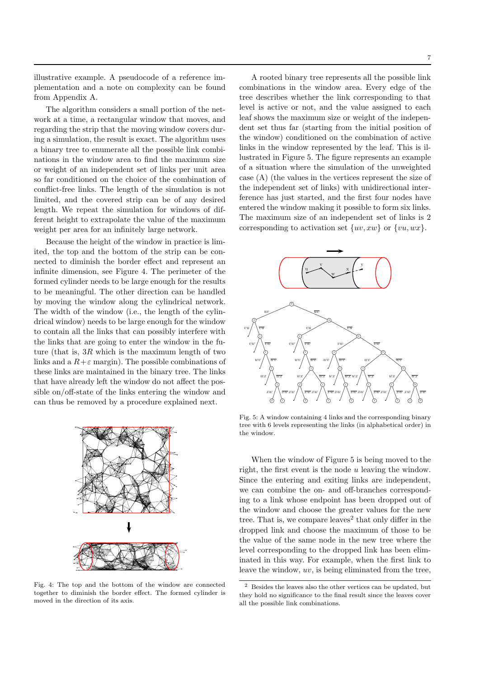illustrative example. A pseudocode of a reference implementation and a note on complexity can be found from Appendix A.

The algorithm considers a small portion of the network at a time, a rectangular window that moves, and regarding the strip that the moving window covers during a simulation, the result is exact. The algorithm uses a binary tree to enumerate all the possible link combinations in the window area to find the maximum size or weight of an independent set of links per unit area so far conditioned on the choice of the combination of conflict-free links. The length of the simulation is not limited, and the covered strip can be of any desired length. We repeat the simulation for windows of different height to extrapolate the value of the maximum weight per area for an infinitely large network.

Because the height of the window in practice is limited, the top and the bottom of the strip can be connected to diminish the border effect and represent an infinite dimension, see Figure 4. The perimeter of the formed cylinder needs to be large enough for the results to be meaningful. The other direction can be handled by moving the window along the cylindrical network. The width of the window (i.e., the length of the cylindrical window) needs to be large enough for the window to contain all the links that can possibly interfere with the links that are going to enter the window in the future (that is,  $3R$  which is the maximum length of two links and a  $R+\varepsilon$  margin). The possible combinations of these links are maintained in the binary tree. The links that have already left the window do not affect the possible on/off-state of the links entering the window and can thus be removed by a procedure explained next.



Fig. 4: The top and the bottom of the window are connected together to diminish the border effect. The formed cylinder is moved in the direction of its axis.

A rooted binary tree represents all the possible link combinations in the window area. Every edge of the tree describes whether the link corresponding to that level is active or not, and the value assigned to each leaf shows the maximum size or weight of the independent set thus far (starting from the initial position of the window) conditioned on the combination of active links in the window represented by the leaf. This is illustrated in Figure 5. The figure represents an example of a situation where the simulation of the unweighted case (A) (the values in the vertices represent the size of the independent set of links) with unidirectional interference has just started, and the first four nodes have entered the window making it possible to form six links. The maximum size of an independent set of links is 2 corresponding to activation set  $\{uv, xw\}$  or  $\{vu, wx\}$ .



Fig. 5: A window containing 4 links and the corresponding binary tree with 6 levels representing the links (in alphabetical order) in the window.

When the window of Figure 5 is being moved to the right, the first event is the node u leaving the window. Since the entering and exiting links are independent, we can combine the on- and off-branches corresponding to a link whose endpoint has been dropped out of the window and choose the greater values for the new tree. That is, we compare leaves<sup>2</sup> that only differ in the dropped link and choose the maximum of those to be the value of the same node in the new tree where the level corresponding to the dropped link has been eliminated in this way. For example, when the first link to leave the window, uv, is being eliminated from the tree,

<sup>2</sup> Besides the leaves also the other vertices can be updated, but they hold no significance to the final result since the leaves cover all the possible link combinations.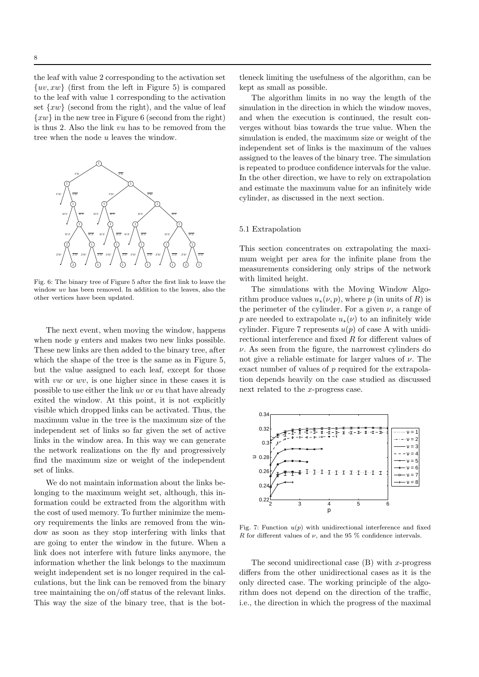the leaf with value 2 corresponding to the activation set  $\{uv, xw\}$  (first from the left in Figure 5) is compared to the leaf with value 1 corresponding to the activation set  $\{xw\}$  (second from the right), and the value of leaf  $\{xw\}$  in the new tree in Figure 6 (second from the right) is thus 2. Also the link vu has to be removed from the tree when the node u leaves the window.



Fig. 6: The binary tree of Figure 5 after the first link to leave the window uv has been removed. In addition to the leaves, also the other vertices have been updated.

The next event, when moving the window, happens when node y enters and makes two new links possible. These new links are then added to the binary tree, after which the shape of the tree is the same as in Figure 5, but the value assigned to each leaf, except for those with vw or wv, is one higher since in these cases it is possible to use either the link uv or vu that have already exited the window. At this point, it is not explicitly visible which dropped links can be activated. Thus, the maximum value in the tree is the maximum size of the independent set of links so far given the set of active links in the window area. In this way we can generate the network realizations on the fly and progressively find the maximum size or weight of the independent set of links.

We do not maintain information about the links belonging to the maximum weight set, although, this information could be extracted from the algorithm with the cost of used memory. To further minimize the memory requirements the links are removed from the window as soon as they stop interfering with links that are going to enter the window in the future. When a link does not interfere with future links anymore, the information whether the link belongs to the maximum weight independent set is no longer required in the calculations, but the link can be removed from the binary tree maintaining the on/off status of the relevant links. This way the size of the binary tree, that is the bottleneck limiting the usefulness of the algorithm, can be kept as small as possible.

The algorithm limits in no way the length of the simulation in the direction in which the window moves, and when the execution is continued, the result converges without bias towards the true value. When the simulation is ended, the maximum size or weight of the independent set of links is the maximum of the values assigned to the leaves of the binary tree. The simulation is repeated to produce confidence intervals for the value. In the other direction, we have to rely on extrapolation and estimate the maximum value for an infinitely wide cylinder, as discussed in the next section.

#### 5.1 Extrapolation

This section concentrates on extrapolating the maximum weight per area for the infinite plane from the measurements considering only strips of the network with limited height.

The simulations with the Moving Window Algorithm produce values  $u_*(\nu, p)$ , where p (in units of R) is the perimeter of the cylinder. For a given  $\nu$ , a range of p are needed to extrapolate  $u_*(\nu)$  to an infinitely wide cylinder. Figure 7 represents  $u(p)$  of case A with unidirectional interference and fixed R for different values of  $\nu$ . As seen from the figure, the narrowest cylinders do not give a reliable estimate for larger values of  $\nu$ . The exact number of values of p required for the extrapolation depends heavily on the case studied as discussed next related to the x-progress case.



Fig. 7: Function  $u(p)$  with unidirectional interference and fixed R for different values of  $\nu$ , and the 95 % confidence intervals.

The second unidirectional case  $(B)$  with x-progress differs from the other unidirectional cases as it is the only directed case. The working principle of the algorithm does not depend on the direction of the traffic, i.e., the direction in which the progress of the maximal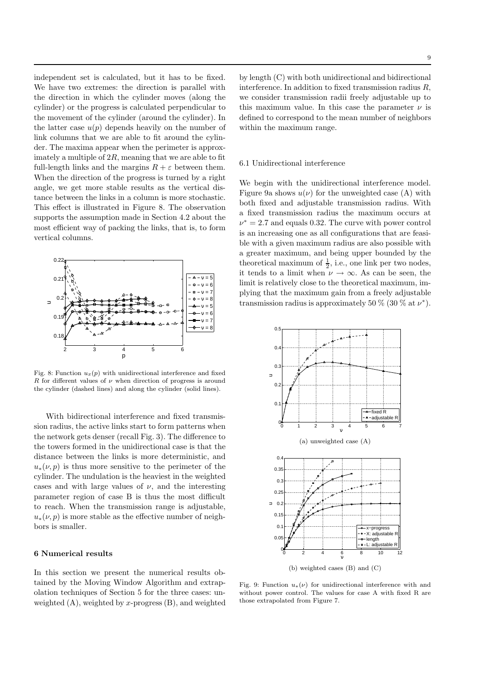independent set is calculated, but it has to be fixed. We have two extremes: the direction is parallel with the direction in which the cylinder moves (along the cylinder) or the progress is calculated perpendicular to the movement of the cylinder (around the cylinder). In the latter case  $u(p)$  depends heavily on the number of link columns that we are able to fit around the cylinder. The maxima appear when the perimeter is approximately a multiple of  $2R$ , meaning that we are able to fit full-length links and the margins  $R + \varepsilon$  between them. When the direction of the progress is turned by a right angle, we get more stable results as the vertical distance between the links in a column is more stochastic. This effect is illustrated in Figure 8. The observation supports the assumption made in Section 4.2 about the most efficient way of packing the links, that is, to form vertical columns.



Fig. 8: Function  $u_x(p)$  with unidirectional interference and fixed R for different values of  $\nu$  when direction of progress is around the cylinder (dashed lines) and along the cylinder (solid lines).

With bidirectional interference and fixed transmission radius, the active links start to form patterns when the network gets denser (recall Fig. 3). The difference to the towers formed in the unidirectional case is that the distance between the links is more deterministic, and  $u_*(\nu, p)$  is thus more sensitive to the perimeter of the cylinder. The undulation is the heaviest in the weighted cases and with large values of  $\nu$ , and the interesting parameter region of case B is thus the most difficult to reach. When the transmission range is adjustable,  $u_*(\nu, p)$  is more stable as the effective number of neighbors is smaller.

# 6 Numerical results

In this section we present the numerical results obtained by the Moving Window Algorithm and extrapolation techniques of Section 5 for the three cases: unweighted  $(A)$ , weighted by x-progress  $(B)$ , and weighted by length (C) with both unidirectional and bidirectional interference. In addition to fixed transmission radius  $R$ , we consider transmission radii freely adjustable up to this maximum value. In this case the parameter  $\nu$  is defined to correspond to the mean number of neighbors within the maximum range.

# 6.1 Unidirectional interference

We begin with the unidirectional interference model. Figure 9a shows  $u(\nu)$  for the unweighted case (A) with both fixed and adjustable transmission radius. With a fixed transmission radius the maximum occurs at  $\nu^* = 2.7$  and equals 0.32. The curve with power control is an increasing one as all configurations that are feasible with a given maximum radius are also possible with a greater maximum, and being upper bounded by the theoretical maximum of  $\frac{1}{2}$ , i.e., one link per two nodes, it tends to a limit when  $\nu \to \infty$ . As can be seen, the limit is relatively close to the theoretical maximum, implying that the maximum gain from a freely adjustable transmission radius is approximately 50 % (30 % at  $\nu^*$ ).



Fig. 9: Function  $u_*(\nu)$  for unidirectional interference with and without power control. The values for case A with fixed R are those extrapolated from Figure 7.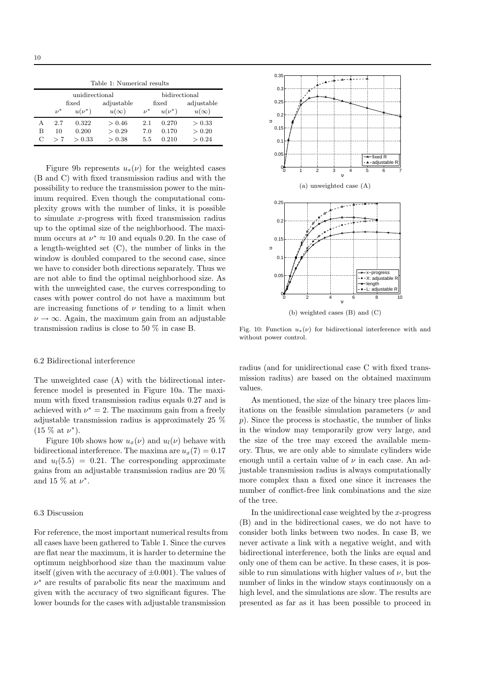| Table 1: Numerical results |         |                |             |               |            |             |  |  |  |
|----------------------------|---------|----------------|-------------|---------------|------------|-------------|--|--|--|
|                            |         | unidirectional |             | bidirectional |            |             |  |  |  |
|                            | fixed   |                | adjustable  | fixed         |            | adjustable  |  |  |  |
|                            | $\nu^*$ | $u(\nu^*)$     | $u(\infty)$ | $\nu^*$       | $u(\nu^*)$ | $u(\infty)$ |  |  |  |
| А                          | 2.7     | 0.322          | > 0.46      | 2.1           | 0.270      | > 0.33      |  |  |  |
| В                          | 10      | 0.200          | > 0.29      | 7.0           | 0.170      | > 0.20      |  |  |  |
|                            |         | > 0.33         | > 0.38      | 5.5           | 0.210      | > 0.24      |  |  |  |

Figure 9b represents  $u_*(\nu)$  for the weighted cases (B and C) with fixed transmission radius and with the possibility to reduce the transmission power to the minimum required. Even though the computational complexity grows with the number of links, it is possible to simulate x-progress with fixed transmission radius up to the optimal size of the neighborhood. The maximum occurs at  $\nu^* \approx 10$  and equals 0.20. In the case of a length-weighted set (C), the number of links in the window is doubled compared to the second case, since we have to consider both directions separately. Thus we are not able to find the optimal neighborhood size. As with the unweighted case, the curves corresponding to cases with power control do not have a maximum but are increasing functions of  $\nu$  tending to a limit when  $\nu \rightarrow \infty$ . Again, the maximum gain from an adjustable transmission radius is close to 50 % in case B.

## 6.2 Bidirectional interference

The unweighted case (A) with the bidirectional interference model is presented in Figure 10a. The maximum with fixed transmission radius equals 0.27 and is achieved with  $\nu^* = 2$ . The maximum gain from a freely adjustable transmission radius is approximately 25 %  $(15 \% \text{ at } \nu^*)$ .

Figure 10b shows how  $u_x(\nu)$  and  $u_l(\nu)$  behave with bidirectional interference. The maxima are  $u_x(7) = 0.17$ and  $u_l(5.5) = 0.21$ . The corresponding approximate gains from an adjustable transmission radius are 20 % and 15 % at  $\nu^*$ .

## 6.3 Discussion

For reference, the most important numerical results from all cases have been gathered to Table 1. Since the curves are flat near the maximum, it is harder to determine the optimum neighborhood size than the maximum value itself (given with the accuracy of  $\pm 0.001$ ). The values of  $\nu^*$  are results of parabolic fits near the maximum and given with the accuracy of two significant figures. The lower bounds for the cases with adjustable transmission



Fig. 10: Function  $u_*(\nu)$  for bidirectional interference with and without power control.

radius (and for unidirectional case C with fixed transmission radius) are based on the obtained maximum values.

As mentioned, the size of the binary tree places limitations on the feasible simulation parameters  $(\nu$  and  $p$ ). Since the process is stochastic, the number of links in the window may temporarily grow very large, and the size of the tree may exceed the available memory. Thus, we are only able to simulate cylinders wide enough until a certain value of  $\nu$  in each case. An adjustable transmission radius is always computationally more complex than a fixed one since it increases the number of conflict-free link combinations and the size of the tree.

In the unidirectional case weighted by the  $x$ -progress (B) and in the bidirectional cases, we do not have to consider both links between two nodes. In case B, we never activate a link with a negative weight, and with bidirectional interference, both the links are equal and only one of them can be active. In these cases, it is possible to run simulations with higher values of  $\nu$ , but the number of links in the window stays continuously on a high level, and the simulations are slow. The results are presented as far as it has been possible to proceed in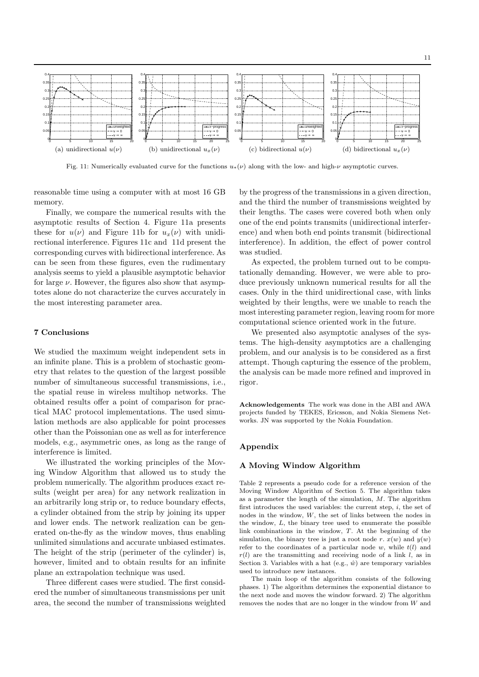

Fig. 11: Numerically evaluated curve for the functions  $u_*(\nu)$  along with the low- and high- $\nu$  asymptotic curves.

reasonable time using a computer with at most 16 GB memory.

Finally, we compare the numerical results with the asymptotic results of Section 4. Figure 11a presents these for  $u(\nu)$  and Figure 11b for  $u_r(\nu)$  with unidirectional interference. Figures 11c and 11d present the corresponding curves with bidirectional interference. As can be seen from these figures, even the rudimentary analysis seems to yield a plausible asymptotic behavior for large  $\nu$ . However, the figures also show that asymptotes alone do not characterize the curves accurately in the most interesting parameter area.

## 7 Conclusions

We studied the maximum weight independent sets in an infinite plane. This is a problem of stochastic geometry that relates to the question of the largest possible number of simultaneous successful transmissions, i.e., the spatial reuse in wireless multihop networks. The obtained results offer a point of comparison for practical MAC protocol implementations. The used simulation methods are also applicable for point processes other than the Poissonian one as well as for interference models, e.g., asymmetric ones, as long as the range of interference is limited.

We illustrated the working principles of the Moving Window Algorithm that allowed us to study the problem numerically. The algorithm produces exact results (weight per area) for any network realization in an arbitrarily long strip or, to reduce boundary effects, a cylinder obtained from the strip by joining its upper and lower ends. The network realization can be generated on-the-fly as the window moves, thus enabling unlimited simulations and accurate unbiased estimates. The height of the strip (perimeter of the cylinder) is, however, limited and to obtain results for an infinite plane an extrapolation technique was used.

Three different cases were studied. The first considered the number of simultaneous transmissions per unit area, the second the number of transmissions weighted by the progress of the transmissions in a given direction, and the third the number of transmissions weighted by their lengths. The cases were covered both when only one of the end points transmits (unidirectional interference) and when both end points transmit (bidirectional interference). In addition, the effect of power control was studied.

As expected, the problem turned out to be computationally demanding. However, we were able to produce previously unknown numerical results for all the cases. Only in the third unidirectional case, with links weighted by their lengths, were we unable to reach the most interesting parameter region, leaving room for more computational science oriented work in the future.

We presented also asymptotic analyses of the systems. The high-density asymptotics are a challenging problem, and our analysis is to be considered as a first attempt. Though capturing the essence of the problem, the analysis can be made more refined and improved in rigor.

Acknowledgements The work was done in the ABI and AWA projects funded by TEKES, Ericsson, and Nokia Siemens Networks. JN was supported by the Nokia Foundation.

# Appendix

## A Moving Window Algorithm

Table 2 represents a pseudo code for a reference version of the Moving Window Algorithm of Section 5. The algorithm takes as a parameter the length of the simulation,  $M$ . The algorithm first introduces the used variables: the current step,  $i$ , the set of nodes in the window, W, the set of links between the nodes in the window,  $L$ , the binary tree used to enumerate the possible link combinations in the window, T. At the beginning of the simulation, the binary tree is just a root node r.  $x(w)$  and  $y(w)$ refer to the coordinates of a particular node  $w$ , while  $t(l)$  and  $r(l)$  are the transmitting and receiving node of a link l, as in Section 3. Variables with a hat (e.g.,  $\hat{w}$ ) are temporary variables used to introduce new instances.

The main loop of the algorithm consists of the following phases. 1) The algorithm determines the exponential distance to the next node and moves the window forward. 2) The algorithm removes the nodes that are no longer in the window from W and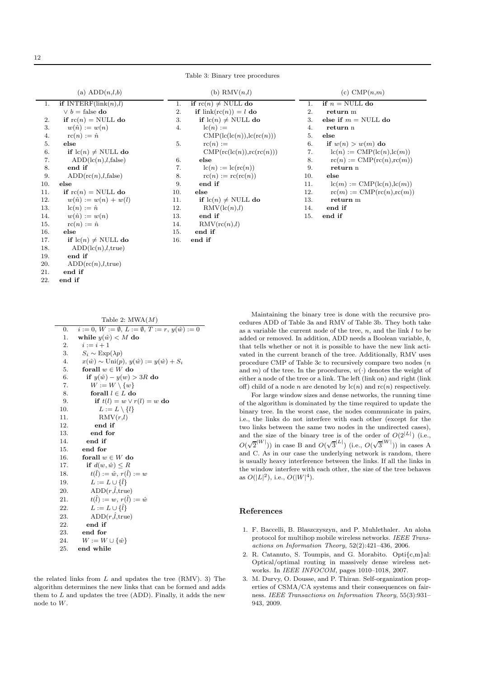$13.$  $14.$ 15.  $16.$ 

Table 3: Binary tree procedures

|     | (a) $ADD(n,l,b)$                      |     | (b) $\text{RMV}(n,l)$                                             |     | (c) CMP $(n,m)$                                                                          |
|-----|---------------------------------------|-----|-------------------------------------------------------------------|-----|------------------------------------------------------------------------------------------|
| 1.  | if $INTERF(link(n), l)$               | 1.  | <b>if</b> $rc(n) \neq \text{NULL}$ do                             | 1.  | if $n =$ NULL do                                                                         |
|     | $\vee$ b = false do                   | 2.  | if $link(rc(n)) = l$ do                                           | 2.  | return m                                                                                 |
| 2.  | if $rc(n) = NULL$ do                  | 3.  | if $lc(n) \neq NULL$ do                                           | 3.  | else if $m = \text{NULL}$ do                                                             |
| 3.  | $w(\hat{n}) := w(n)$                  | 4.  | $lc(n) :=$                                                        | 4.  | return n                                                                                 |
| 4.  | $\mathrm{rc}(n) := \hat{n}$           |     | $\text{CMP}(\text{lc}(\text{lc}(n)), \text{lc}(\text{rc}(n)))$    | 5.  | else                                                                                     |
| 5.  | else                                  | 5.  | $rc(n) :=$                                                        | 6.  | if $w(n) > w(m)$ do                                                                      |
| 6.  | if $lc(n) \neq \text{NULL}$ do        |     | $\text{CMP}(\text{rc}(\text{lc}(n)), \text{rc}(\text{rc}(n)))$    | 7.  | $\operatorname{lc}(n) := \operatorname{CMP}(\operatorname{lc}(n), \operatorname{lc}(m))$ |
| 7.  | $ADD(lc(n),l,\text{false})$           | 6.  | else                                                              | 8.  | $rc(n) := \text{CMP}(rc(n), rc(m))$                                                      |
| 8.  | end if                                | 7.  | $\operatorname{lc}(n) := \operatorname{lc}(\operatorname{rc}(n))$ | 9.  | return n                                                                                 |
| 9.  | $ADD(rc(n),l,\text{false})$           | 8.  | $rc(n) := rc(rc(n))$                                              | 10. | else                                                                                     |
| 10. | else                                  | 9.  | end if                                                            | 11. | $lc(m) := \text{CMP}(lc(n),lc(m))$                                                       |
| 11. | if $rc(n) = NULL$ do                  | 10. | else                                                              | 12. | $rc(m) := \text{CMP}(rc(n), rc(m))$                                                      |
| 12. | $w(\hat{n}) := w(n) + w(l)$           | 11. | if $lc(n) \neq NULL$ do                                           | 13. | return m                                                                                 |
| 13. | $\mathrm{lc}(n) := \hat{n}$           | 12. | $\text{RMV}(\text{lc}(n),l)$                                      | 14. | end if                                                                                   |
| 14. | $w(\hat{n}) := w(n)$                  | 13. | end if                                                            | 15. | end if                                                                                   |
| 15. | $\mathrm{rc}(n) := \hat{n}$           | 14. | $\text{RMV}(\text{rc}(n),l)$                                      |     |                                                                                          |
| 16. | else                                  | 15. | end if                                                            |     |                                                                                          |
| 17. | <b>if</b> $lc(n) \neq \text{NULL}$ do | 16. | end if                                                            |     |                                                                                          |
| 18. | ADD(lc(n),l,true)                     |     |                                                                   |     |                                                                                          |

20.  $ADD(rc(n),l,\text{true})$ 

19. end if

21. end if 22. end if

Table 2:  $MWA(M)$ 

| 0.  | $i := 0, W := \emptyset, L := \emptyset, T := r, y(\hat{w}) := 0$ |
|-----|-------------------------------------------------------------------|
| 1.  | while $y(\hat{w}) < M$ do                                         |
| 2.  | $i := i + 1$                                                      |
| 3.  | $S_i \sim \text{Exp}(\lambda p)$                                  |
| 4.  | $x(\hat{w}) \sim \text{Uni}(p), y(\hat{w}) := y(\hat{w}) + S_i$   |
| 5.  | forall $w \in W$ do                                               |
| 6.  | if $y(\hat{w}) - y(w) > 3R$ do                                    |
| 7.  | $W := W \setminus \{w\}$                                          |
| 8.  | forall $l \in L$ do                                               |
| 9.  | if $t(l) = w \vee r(l) = w$ do                                    |
| 10. | $L := L \setminus \{l\}$                                          |
| 11. | $\text{RMV}(r,l)$                                                 |
| 12. | end if                                                            |
| 13. | end for                                                           |
| 14. | end if                                                            |
| 15. | end for                                                           |
| 16. | forall $w \in W$ do                                               |
| 17. | if $d(w, \hat{w}) \leq R$                                         |
| 18. | $t(\hat{l}) := \hat{w}, r(\hat{l}) := w$                          |
| 19. | $L := L \cup \{\hat{l}\}\$                                        |
| 20. | ADD(r, l, true)                                                   |
| 21. | $t(\hat{l}) := w, r(\hat{l}) := \hat{w}$                          |
| 22. | $L := L \cup \{\hat{l}\}\$                                        |
| 23. | ADD(r, l, true)                                                   |
| 22. | end if                                                            |
| 23. | end for                                                           |
| 24. | $W := W \cup {\hat{w}}$                                           |
| 25. | end while                                                         |
|     |                                                                   |

the related links from  $L$  and updates the tree (RMV). 3) The algorithm determines the new links that can be formed and adds them to  $L$  and updates the tree (ADD). Finally, it adds the new node to W.

Maintaining the binary tree is done with the recursive procedures ADD of Table 3a and RMV of Table 3b. They both take as a variable the current node of the tree,  $n$ , and the link  $l$  to be added or removed. In addition, ADD needs a Boolean variable, b, that tells whether or not it is possible to have the new link activated in the current branch of the tree. Additionally, RMV uses procedure CMP of Table 3c to recursively compare two nodes (n and m) of the tree. In the procedures,  $w(\cdot)$  denotes the weight of either a node of the tree or a link. The left (link on) and right (link off) child of a node n are denoted by  $\mathrm{lc}(n)$  and  $\mathrm{rc}(n)$  respectively.

For large window sizes and dense networks, the running time of the algorithm is dominated by the time required to update the binary tree. In the worst case, the nodes communicate in pairs, i.e., the links do not interfere with each other (except for the two links between the same two nodes in the undirected cases), and the size of the binary tree is of the order of  $O(2^{|L|})$  (i.e.,  $O(\sqrt{2}^{|W|}))$  in case B and  $O(\sqrt{3}^{|L|})$  (i.e.,  $O(\sqrt{3}^{|W|}))$  in cases A and C. As in our case the underlying network is random, there is usually heavy interference between the links. If all the links in the window interfere with each other, the size of the tree behaves as  $O(|L|^2)$ , i.e.,  $O(|W|^4)$ .

## References

- 1. F. Baccelli, B. Blaszczyszyn, and P. Muhlethaler. An aloha protocol for multihop mobile wireless networks. IEEE Transactions on Information Theory, 52(2):421–436, 2006.
- 2. R. Catanuto, S. Toumpis, and G. Morabito. Opti{c,m}al: Optical/optimal routing in massively dense wireless networks. In IEEE INFOCOM, pages 1010–1018, 2007.
- 3. M. Durvy, O. Dousse, and P. Thiran. Self-organization properties of CSMA/CA systems and their consequences on fairness. IEEE Transactions on Information Theory, 55(3):931– 943, 2009.